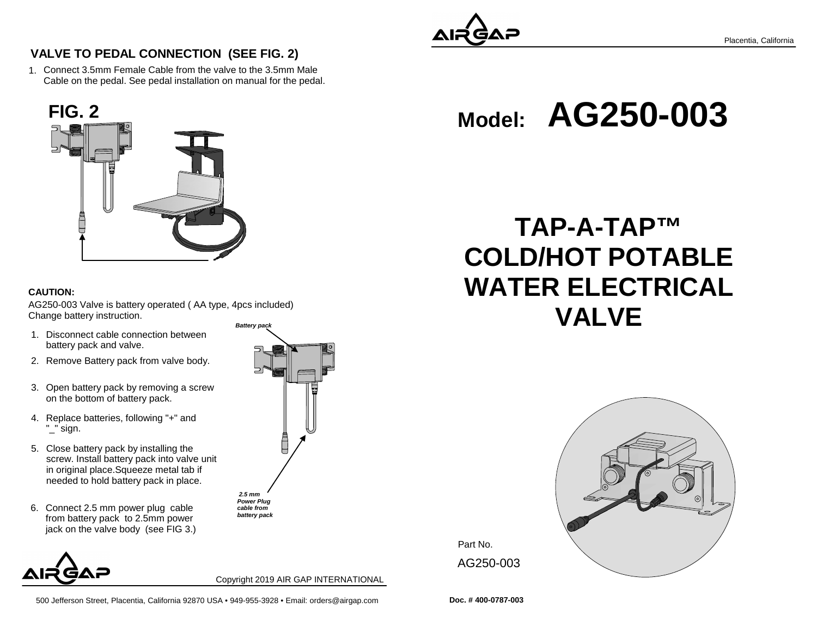

Placentia, California

**VALVE TO PEDAL CONNECTION (SEE FIG. 2)**

1.Connect 3.5mm Female Cable from the valve to the 3.5mm MaleCable on the pedal. See pedal installation on manual for the pedal.



#### **CAUTION:**

AG250-003 Valve is battery operated ( AA type, 4pcs included) Change battery instruction.**Battery pack**

- 1. Disconnect cable connection between battery pack and valve.
- 2. Remove Battery pack from valve body.
- 3. Open battery pack by removing a screw on the bottom of battery pack.
- 4. Replace batteries, following "+" and "\_" sign.
- 5. Close battery pack by installing the screw. Install battery pack into valve unitin original place.Squeeze metal tab ifneeded to hold battery pack in place.
- 6. Connect 2.5 mm power plug cable from battery pack to 2.5mm powerjack on the valve body (see FIG 3.)



 **2.5 mm**

 **Power Plug cable frombattery pack** 

Copyright 2019 AIR GAP INTERNATIONAL



# **TAP-A-TAP™ COLD/HOT POTABLE WATER ELECTRICALVALVE**



Part No. AG250-003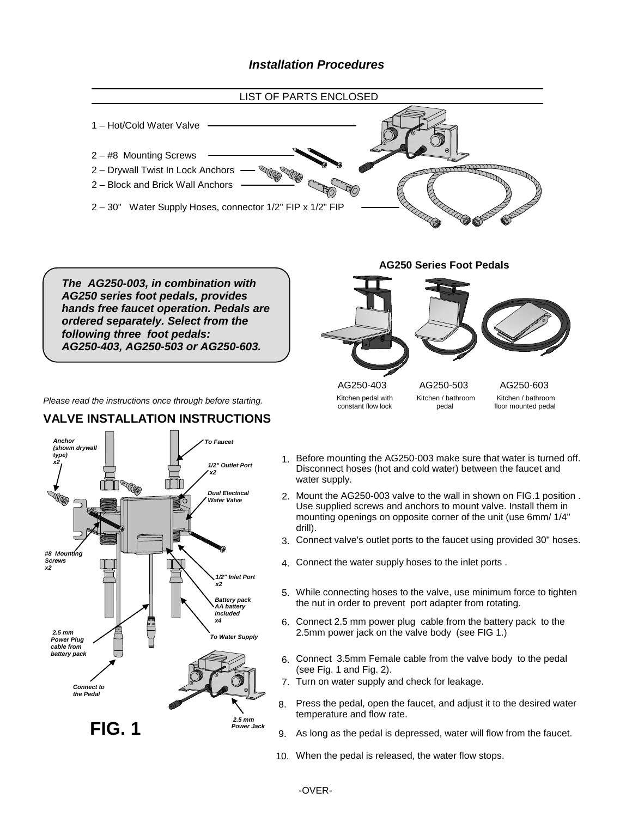### **Installation Procedures**



-OVER-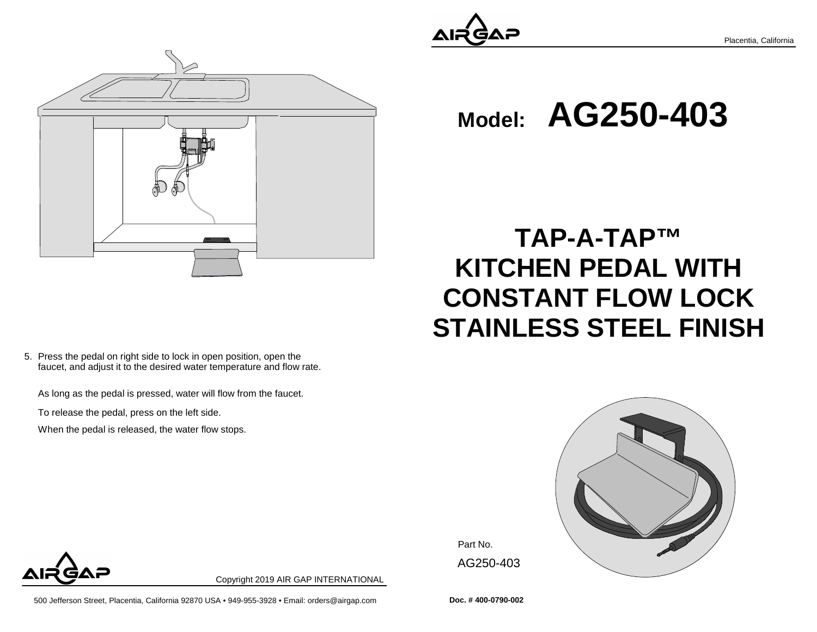

Placentia, California



5. Press the pedal on right side to lock in open position, open the faucet, and adjust it to the desired water temperature and flow rate.

As long as the pedal is pressed, water will flow from the faucet.

To release the pedal, press on the left side.

When the pedal is released, the water flow stops.



**TAP-A-TAP™**

**Model:AG250-403**

**KITCHEN PEDAL WITH**

**CONSTANT FLOW LOCK**

**STAINLESS STEEL FINISH**

Part No. AG250-403



Copyright 2019 AIR GAP INTERNATIONAL

500 Jefferson Street, Placentia, California 92870 USA • 949-955-3928 • Email: orders@airgap.com **Doc. # 400-0790-002**